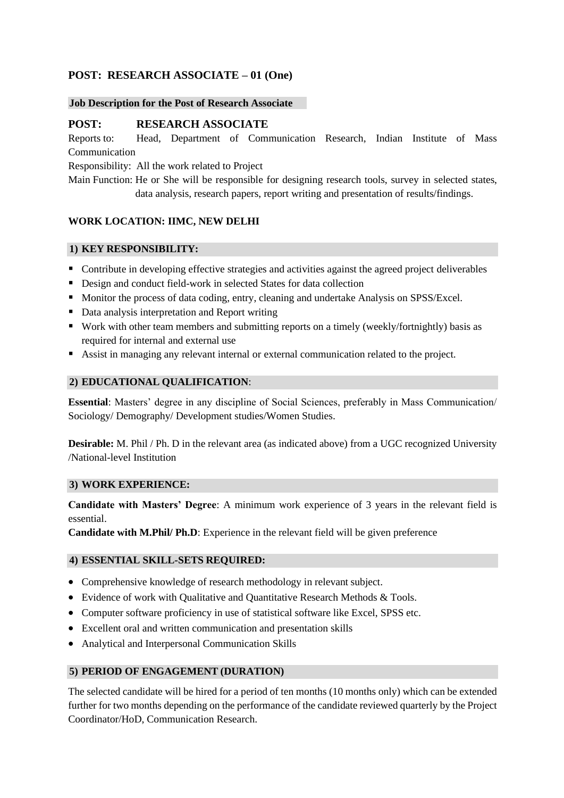# **POST: RESEARCH ASSOCIATE – 01 (One)**

### **Job Description for the Post of Research Associate**

# **POST: RESEARCH ASSOCIATE**

Reports to: Head, Department of Communication Research, Indian Institute of Mass Communication

Responsibility: All the work related to Project

Main Function: He or She will be responsible for designing research tools, survey in selected states, data analysis, research papers, report writing and presentation of results/findings.

# **WORK LOCATION: IIMC, NEW DELHI**

### **1) KEY RESPONSIBILITY:**

- Contribute in developing effective strategies and activities against the agreed project deliverables
- Design and conduct field-work in selected States for data collection
- Monitor the process of data coding, entry, cleaning and undertake Analysis on SPSS/Excel.
- Data analysis interpretation and Report writing
- Work with other team members and submitting reports on a timely (weekly/fortnightly) basis as required for internal and external use
- Assist in managing any relevant internal or external communication related to the project.

### **2) EDUCATIONAL QUALIFICATION**:

**Essential**: Masters' degree in any discipline of Social Sciences, preferably in Mass Communication/ Sociology/ Demography/ Development studies/Women Studies.

**Desirable:** M. Phil / Ph. D in the relevant area (as indicated above) from a UGC recognized University /National-level Institution

#### **3) WORK EXPERIENCE:**

**Candidate with Masters' Degree**: A minimum work experience of 3 years in the relevant field is essential.

**Candidate with M.Phil/ Ph.D**: Experience in the relevant field will be given preference

# **4) ESSENTIAL SKILL-SETS REQUIRED:**

- Comprehensive knowledge of research methodology in relevant subject.
- Evidence of work with Qualitative and Quantitative Research Methods & Tools.
- Computer software proficiency in use of statistical software like Excel, SPSS etc.
- Excellent oral and written communication and presentation skills
- Analytical and Interpersonal Communication Skills

# **5) PERIOD OF ENGAGEMENT (DURATION)**

The selected candidate will be hired for a period of ten months (10 months only) which can be extended further for two months depending on the performance of the candidate reviewed quarterly by the Project Coordinator/HoD, Communication Research.